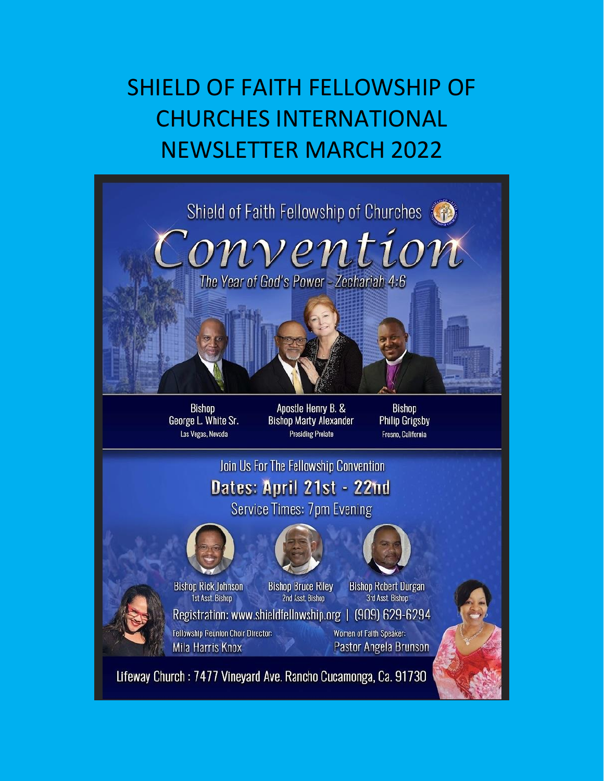# SHIELD OF FAITH FELLOWSHIP OF CHURCHES INTERNATIONAL NEWSLETTER MARCH 2022

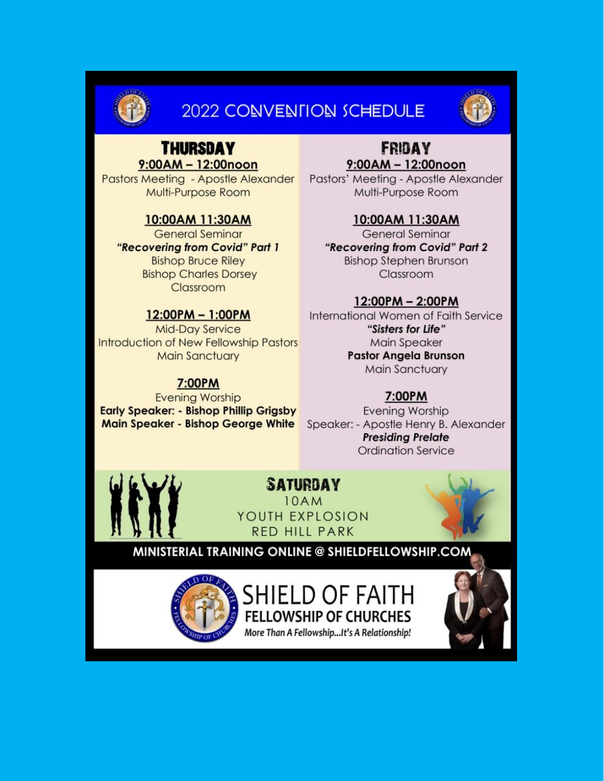

## **2022 CONVENTION SCHEDULE**



## **THURSDAY**  $9:00AM - 12:00n$ on

**Pastors Meeting - Apostle Alexander** Multi-Purpose Room

#### 10:00AM 11:30AM

**General Seminar** "Recovering from Covid" Part 1 **Bishop Bruce Riley Bishop Charles Dorsey** Classroom

### 12:00PM - 1:00PM

**Mid-Day Service Introduction of New Fellowship Pastors Main Sanctuary** 

#### 7:00PM

**Evening Worship Early Speaker: - Bishop Phillip Grigsby Main Speaker - Bishop George White** 

#### **FRIDAY**  $9:00AM - 12:00n$ on

Pastors' Meeting - Apostle Alexander Multi-Purpose Room

### 10:00AM 11:30AM

**General Seminar** "Recovering from Covid" Part 2 **Bishop Stephen Brunson** Classroom

### 12:00PM - 2:00PM

International Women of Faith Service "Sisters for Life" Main Speaker **Pastor Angela Brunson Main Sanctuary** 

## 7:00PM

**Evening Worship** Speaker: - Apostle Henry B. Alexander **Presiding Prelate Ordination Service** 



## **SATURDAY**

**10AM** YOUTH EXPLOSION RED HILL PARK



## MINISTERIAL TRAINING ONLINE @ SHIELDFELLOWSHIP.COM



SHIELD OF FAITH **FELLOWSHIP OF CHURCHES** More Than A Fellowship...It's A Relationship!

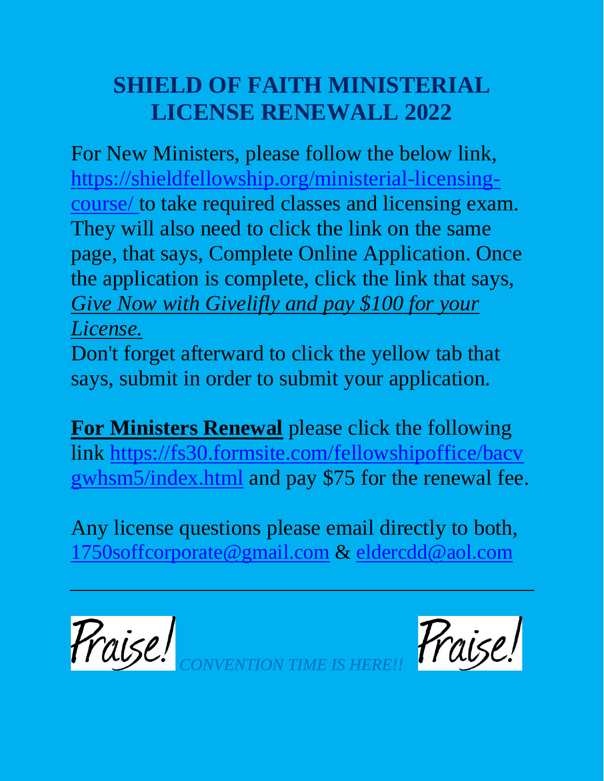# **SHIELD OF FAITH MINISTERIAL LICENSE RENEWALL 2022**

For New Ministers, please follow the below link, [https://shieldfellowship.org/ministerial-licensing](https://shieldfellowship.org/ministerial-licensing-course/)[course/](https://shieldfellowship.org/ministerial-licensing-course/) to take required classes and licensing exam. They will also need to click the link on the same page, that says, Complete Online Application. Once the application is complete, click the link that says, *Give Now with Givelifly and pay \$100 for your License.*

Don't forget afterward to click the yellow tab that says, submit in order to submit your application.

**For Ministers Renewal** please click the following link [https://fs30.formsite.com/fellowshipoffice/bacv](https://fs30.formsite.com/fellowshipoffice/bacvgwhsm5/index.html) [gwhsm5/index.html](https://fs30.formsite.com/fellowshipoffice/bacvgwhsm5/index.html) and pay \$75 for the renewal fee.

Any license questions please email directly to both, [1750soffcorporate@gmail.com](mailto:1750soffcorporate@gmail.com) & [eldercdd@aol.com](mailto:eldercdd@aol.com)

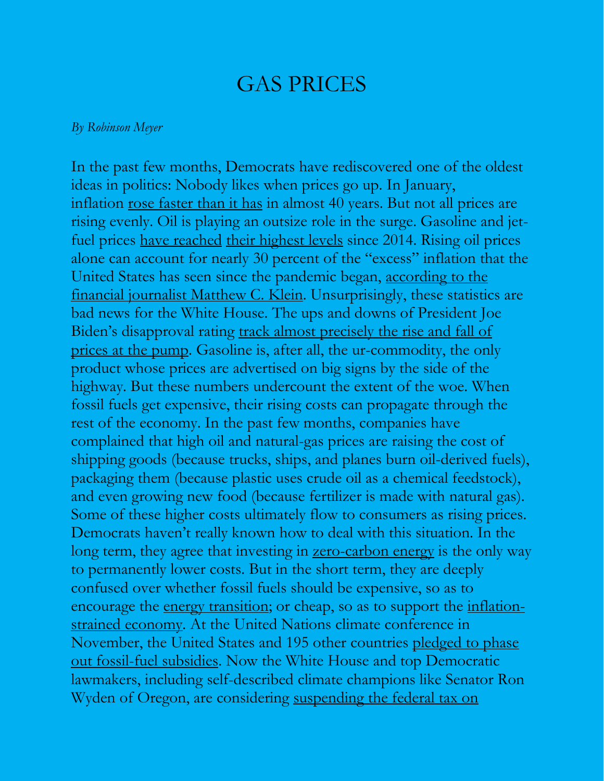## GAS PRICES

#### *By Robinson Meyer*

In the past few months, Democrats have rediscovered one of the oldest ideas in politics: Nobody likes when prices go up. In January, inflation <u>[rose faster than it has](https://www.cnn.com/2022/01/11/economy/inflation-history/index.html)</u> in almost 40 years. But not all prices are rising evenly. Oil is playing an outsize role in the surge. Gasoline and jetfuel prices [have reached](https://www.gasbuddy.com/charts) [their highest levels](https://www.indexmundi.com/commodities/?commodity=jet-fuel&months=180) since 2014. Rising oil prices alone can account for nearly 30 percent of the "excess" inflation that the United States has seen since the pandemic began, [according to the](https://theovershoot.co/p/understanding-covid-flation?utm_source=url)  [financial journalist Matthew C. Klein.](https://theovershoot.co/p/understanding-covid-flation?utm_source=url) Unsurprisingly, these statistics are bad news for the White House. The ups and downs of President Joe Biden's disapproval rating [track almost precisely the rise and fall of](https://slate.com/news-and-politics/2021/11/joe-biden-approval-inflation-gas-prices.html)  [prices at the pump.](https://slate.com/news-and-politics/2021/11/joe-biden-approval-inflation-gas-prices.html) Gasoline is, after all, the ur-commodity, the only product whose prices are advertised on big signs by the side of the highway. But these numbers undercount the extent of the woe. When fossil fuels get expensive, their rising costs can propagate through the rest of the economy. In the past few months, companies have complained that high oil and natural-gas prices are raising the cost of shipping goods (because trucks, ships, and planes burn oil-derived fuels), packaging them (because plastic uses crude oil as a chemical feedstock), and even growing new food (because fertilizer is made with natural gas). Some of these higher costs ultimately flow to consumers as rising prices. Democrats haven't really known how to deal with this situation. In the long term, they agree that investing in [zero-carbon energy](https://www.theatlantic.com/science/archive/2022/02/biden-climate-factories-industrial-sector/622810/) is the only way to permanently lower costs. But in the short term, they are deeply confused over whether fossil fuels should be expensive, so as to encourage the <u>energy transition</u>; or cheap, so as to support the <u>inflation-</u> [strained economy.](https://www.theatlantic.com/science/archive/2022/02/greenflation-prices-inflation-climate-change-coffee-lumber/621456/) At the United Nations climate conference in November, the United States and 195 other countries [pledged to phase](https://www.newscientist.com/article/2297452-cop26-world-agrees-to-phase-out-fossil-fuel-subsidies-and-reduce-coal/)  [out fossil-fuel subsidies.](https://www.newscientist.com/article/2297452-cop26-world-agrees-to-phase-out-fossil-fuel-subsidies-and-reduce-coal/) Now the White House and top Democratic lawmakers, including self-described climate champions like Senator Ron Wyden of Oregon, are considering suspending the federal tax on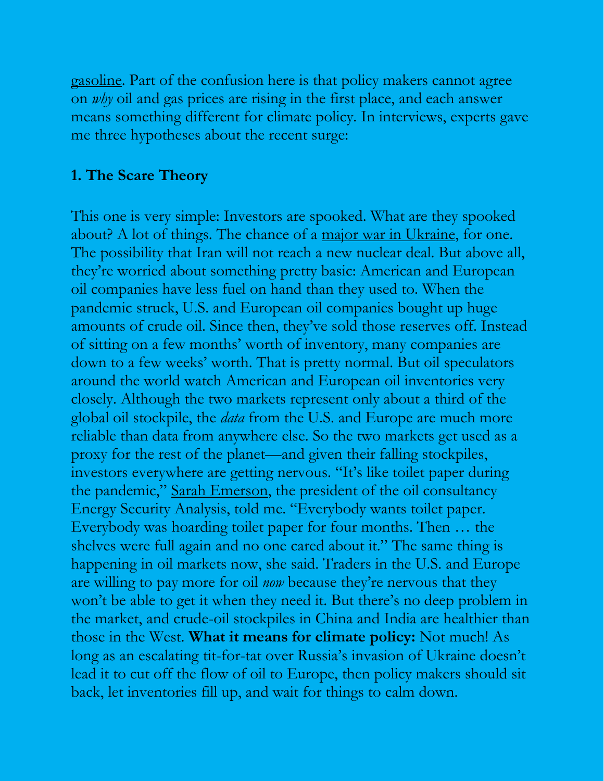[gasoline.](https://www.washingtonpost.com/us-policy/2022/02/15/democrats-gas-tax-holiday/) Part of the confusion here is that policy makers cannot agree on *why* oil and gas prices are rising in the first place, and each answer means something different for climate policy. In interviews, experts gave me three hypotheses about the recent surge:

## **1. The Scare Theory**

This one is very simple: Investors are spooked. What are they spooked about? A lot of things. The chance of a [major war in Ukraine,](https://www.theatlantic.com/ideas/archive/2022/02/putin-ukraine-democracy/621465/) for one. The possibility that Iran will not reach a new nuclear deal. But above all, they're worried about something pretty basic: American and European oil companies have less fuel on hand than they used to. When the pandemic struck, U.S. and European oil companies bought up huge amounts of crude oil. Since then, they've sold those reserves off. Instead of sitting on a few months' worth of inventory, many companies are down to a few weeks' worth. That is pretty normal. But oil speculators around the world watch American and European oil inventories very closely. Although the two markets represent only about a third of the global oil stockpile, the *data* from the U.S. and Europe are much more reliable than data from anywhere else. So the two markets get used as a proxy for the rest of the planet—and given their falling stockpiles, investors everywhere are getting nervous. "It's like toilet paper during the pandemic," [Sarah Emerson,](https://www.esaienergy.com/people/sarah-emerson) the president of the oil consultancy Energy Security Analysis, told me. "Everybody wants toilet paper. Everybody was hoarding toilet paper for four months. Then … the shelves were full again and no one cared about it." The same thing is happening in oil markets now, she said. Traders in the U.S. and Europe are willing to pay more for oil *now* because they're nervous that they won't be able to get it when they need it. But there's no deep problem in the market, and crude-oil stockpiles in China and India are healthier than those in the West. **What it means for climate policy:** Not much! As long as an escalating tit-for-tat over Russia's invasion of Ukraine doesn't lead it to cut off the flow of oil to Europe, then policy makers should sit back, let inventories fill up, and wait for things to calm down.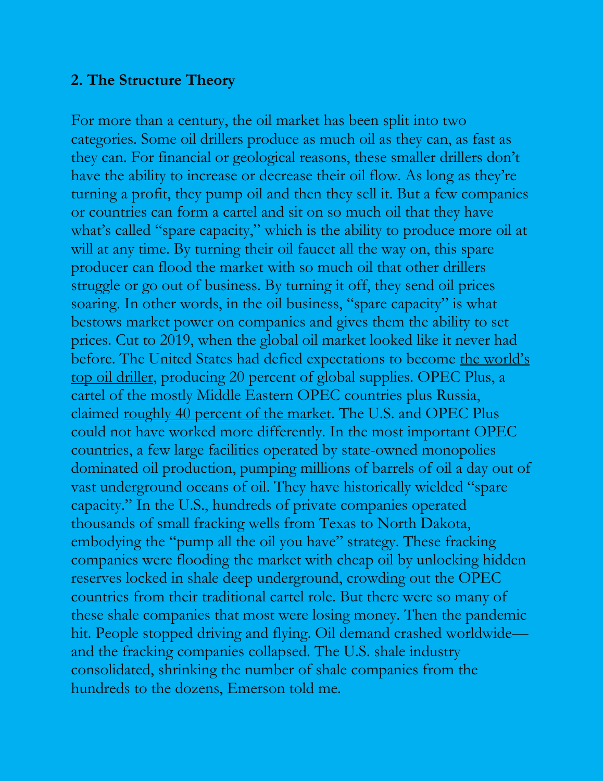## **2. The Structure Theory**

For more than a century, the oil market has been split into two categories. Some oil drillers produce as much oil as they can, as fast as they can. For financial or geological reasons, these smaller drillers don't have the ability to increase or decrease their oil flow. As long as they're turning a profit, they pump oil and then they sell it. But a few companies or countries can form a cartel and sit on so much oil that they have what's called "spare capacity," which is the ability to produce more oil at will at any time. By turning their oil faucet all the way on, this spare producer can flood the market with so much oil that other drillers struggle or go out of business. By turning it off, they send oil prices soaring. In other words, in the oil business, "spare capacity" is what bestows market power on companies and gives them the ability to set prices. Cut to 2019, when the global oil market looked like it never had before. The United States had defied expectations to become the world's [top oil driller,](https://www.eia.gov/tools/faqs/faq.php?id=709&t=6) producing 20 percent of global supplies. OPEC Plus, a cartel of the mostly Middle Eastern OPEC countries plus Russia, claimed [roughly 40 percent of the market.](https://www.nytimes.com/2021/12/01/business/oil-opec-omicron-prices.html) The U.S. and OPEC Plus could not have worked more differently. In the most important OPEC countries, a few large facilities operated by state-owned monopolies dominated oil production, pumping millions of barrels of oil a day out of vast underground oceans of oil. They have historically wielded "spare capacity." In the U.S., hundreds of private companies operated thousands of small fracking wells from Texas to North Dakota, embodying the "pump all the oil you have" strategy. These fracking companies were flooding the market with cheap oil by unlocking hidden reserves locked in shale deep underground, crowding out the OPEC countries from their traditional cartel role. But there were so many of these shale companies that most were losing money. Then the pandemic hit. People stopped driving and flying. Oil demand crashed worldwide and the fracking companies collapsed. The U.S. shale industry consolidated, shrinking the number of shale companies from the hundreds to the dozens, Emerson told me.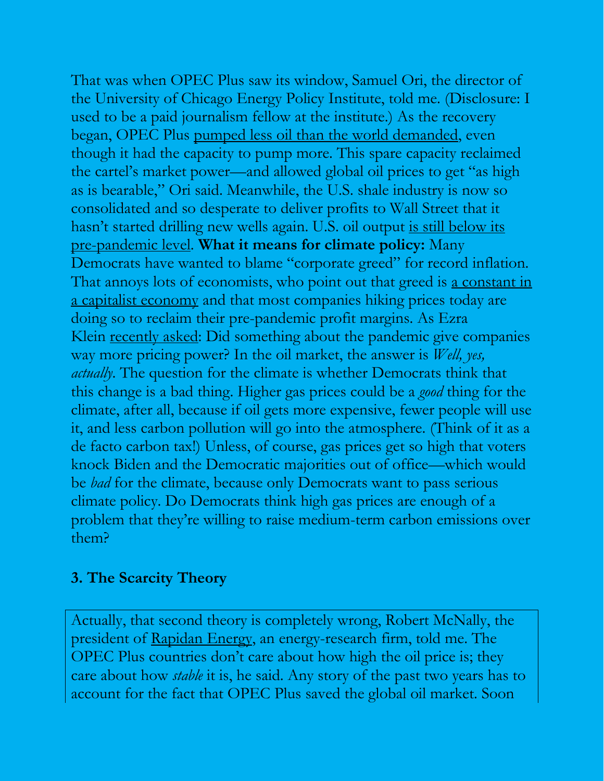That was when OPEC Plus saw its window, Samuel Ori, the director of the University of Chicago Energy Policy Institute, told me. (Disclosure: I used to be a paid journalism fellow at the institute.) As the recovery began, OPEC Plus [pumped less oil than the world demanded,](https://www.eia.gov/todayinenergy/detail.php?id=50296) even though it had the capacity to pump more. This spare capacity reclaimed the cartel's market power—and allowed global oil prices to get "as high as is bearable," Ori said. Meanwhile, the U.S. shale industry is now so consolidated and so desperate to deliver profits to Wall Street that it hasn't started drilling new wells again. U.S. oil output is still below its [pre-pandemic level.](https://www.eia.gov/todayinenergy/detail.php?id=50296) **What it means for climate policy:** Many Democrats have wanted to blame "corporate greed" for record inflation. That annoys lots of economists, who point out that greed is a constant in [a capitalist economy](https://mobile.twitter.com/jasonfurman/status/1493421710263164930) and that most companies hiking prices today are doing so to reclaim their pre-pandemic profit margins. As Ezra Klein <u>recently asked</u>: Did something about the pandemic give companies way more pricing power? In the oil market, the answer is *Well, yes, actually*. The question for the climate is whether Democrats think that this change is a bad thing. Higher gas prices could be a *good* thing for the climate, after all, because if oil gets more expensive, fewer people will use it, and less carbon pollution will go into the atmosphere. (Think of it as a de facto carbon tax!) Unless, of course, gas prices get so high that voters knock Biden and the Democratic majorities out of office—which would be *bad* for the climate, because only Democrats want to pass serious climate policy. Do Democrats think high gas prices are enough of a problem that they're willing to raise medium-term carbon emissions over them?

## **3. The Scarcity Theory**

Actually, that second theory is completely wrong, Robert McNally, the president of [Rapidan Energy,](https://www.rapidanenergy.com/) an energy-research firm, told me. The OPEC Plus countries don't care about how high the oil price is; they care about how *stable* it is, he said. Any story of the past two years has to account for the fact that OPEC Plus saved the global oil market. Soon